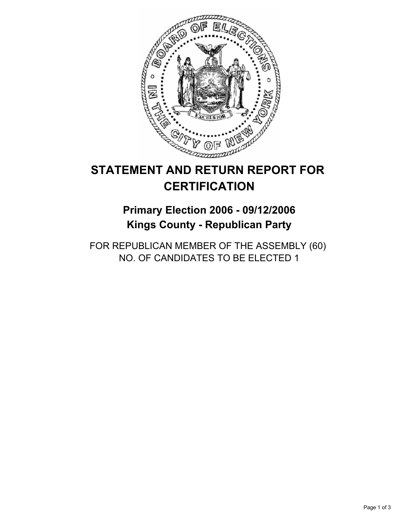

# **STATEMENT AND RETURN REPORT FOR CERTIFICATION**

## **Primary Election 2006 - 09/12/2006 Kings County - Republican Party**

FOR REPUBLICAN MEMBER OF THE ASSEMBLY (60) NO. OF CANDIDATES TO BE ELECTED 1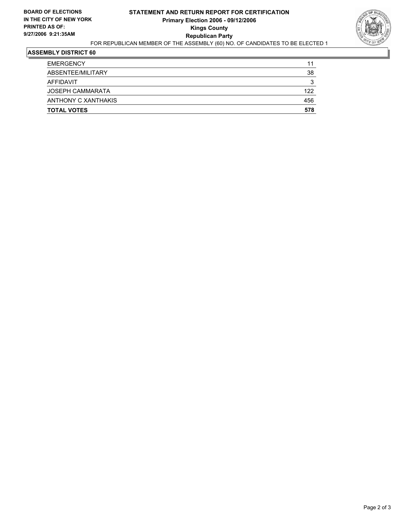

#### **ASSEMBLY DISTRICT 60**

| <b>TOTAL VOTES</b>      | 578 |
|-------------------------|-----|
| ANTHONY C XANTHAKIS     | 456 |
| <b>JOSEPH CAMMARATA</b> | 122 |
| AFFIDAVIT               | 3   |
| ABSENTEE/MILITARY       | 38  |
| <b>EMERGENCY</b>        | 11  |